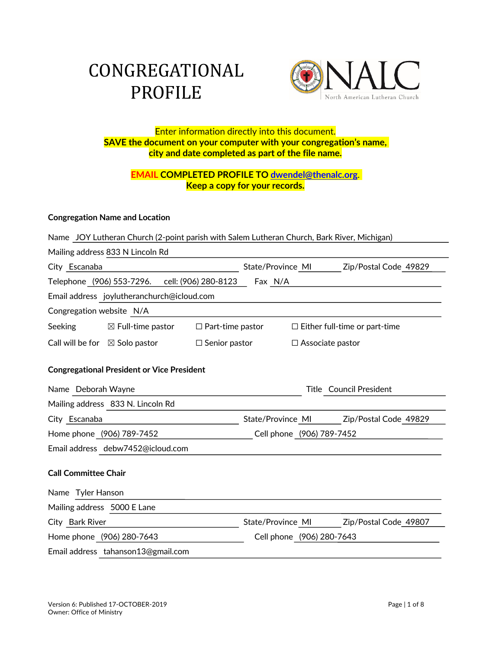# CONGREGATIONAL PROFILE



# Enter information directly into this document. **SAVE the document on your computer with your congregation's name, city and date completed as part of the file name.**

# **EMAIL COMPLETED PROFILE TO dwendel@thenalc.org**. **Keep a copy for your records.**

## **Congregation Name and Location**

| Name JOY Lutheran Church (2-point parish with Salem Lutheran Church, Bark River, Michigan) |                                                   |                         |                           |                         |                                      |  |
|--------------------------------------------------------------------------------------------|---------------------------------------------------|-------------------------|---------------------------|-------------------------|--------------------------------------|--|
| Mailing address 833 N Lincoln Rd                                                           |                                                   |                         |                           |                         |                                      |  |
| City Escanaba                                                                              |                                                   |                         | State/Province MI         |                         | Zip/Postal Code 49829                |  |
| Telephone (906) 553-7296.<br>cell: (906) 280-8123<br>Fax N/A                               |                                                   |                         |                           |                         |                                      |  |
| Email address joylutheranchurch@icloud.com                                                 |                                                   |                         |                           |                         |                                      |  |
| Congregation website N/A                                                                   |                                                   |                         |                           |                         |                                      |  |
| Seeking                                                                                    | $\boxtimes$ Full-time pastor                      | $\Box$ Part-time pastor |                           |                         | $\Box$ Either full-time or part-time |  |
| Call will be for $\boxtimes$ Solo pastor                                                   |                                                   | $\Box$ Senior pastor    |                           | $\Box$ Associate pastor |                                      |  |
|                                                                                            |                                                   |                         |                           |                         |                                      |  |
|                                                                                            | <b>Congregational President or Vice President</b> |                         |                           |                         |                                      |  |
| Name Deborah Wayne                                                                         |                                                   |                         |                           |                         | <b>Title</b> Council President       |  |
| Mailing address 833 N. Lincoln Rd                                                          |                                                   |                         |                           |                         |                                      |  |
| City Escanaba                                                                              |                                                   |                         | State/Province MI         |                         | Zip/Postal Code 49829                |  |
| Home phone (906) 789-7452                                                                  |                                                   |                         | Cell phone (906) 789-7452 |                         |                                      |  |
| Email address debw7452@icloud.com                                                          |                                                   |                         |                           |                         |                                      |  |
| <b>Call Committee Chair</b>                                                                |                                                   |                         |                           |                         |                                      |  |
| Name Tyler Hanson                                                                          |                                                   |                         |                           |                         |                                      |  |
| Mailing address 5000 E Lane                                                                |                                                   |                         |                           |                         |                                      |  |
| City Bark River                                                                            |                                                   |                         | State/Province MI         |                         | Zip/Postal Code 49807                |  |
| Home phone (906) 280-7643                                                                  |                                                   |                         | Cell phone (906) 280-7643 |                         |                                      |  |
| Email address tahanson13@gmail.com                                                         |                                                   |                         |                           |                         |                                      |  |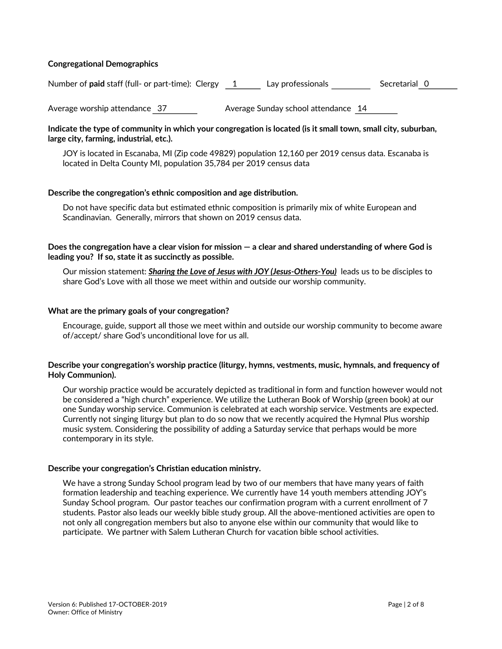#### **Congregational Demographics**

Number of **paid** staff (full- or part-time): Clergy 1 Lay professionals Secretarial 0

Average worship attendance 37 Average Sunday school attendance 14

#### **Indicate the type of community in which your congregation is located (is it small town, small city, suburban, large city, farming, industrial, etc.).**

JOY is located in Escanaba, MI (Zip code 49829) population 12,160 per 2019 census data. Escanaba is located in Delta County MI, population 35,784 per 2019 census data

#### **Describe the congregation's ethnic composition and age distribution.**

Do not have specific data but estimated ethnic composition is primarily mix of white European and Scandinavian. Generally, mirrors that shown on 2019 census data.

**Does the congregation have a clear vision for mission — a clear and shared understanding of where God is leading you? If so, state it as succinctly as possible.** 

Our mission statement: *Sharing the Love of Jesus with JOY (Jesus-Others-You)* leads us to be disciples to share God's Love with all those we meet within and outside our worship community.

#### **What are the primary goals of your congregation?**

Encourage, guide, support all those we meet within and outside our worship community to become aware of/accept/ share God's unconditional love for us all.

#### **Describe your congregation's worship practice (liturgy, hymns, vestments, music, hymnals, and frequency of Holy Communion).**

Our worship practice would be accurately depicted as traditional in form and function however would not be considered a "high church" experience. We utilize the Lutheran Book of Worship (green book) at our one Sunday worship service. Communion is celebrated at each worship service. Vestments are expected. Currently not singing liturgy but plan to do so now that we recently acquired the Hymnal Plus worship music system. Considering the possibility of adding a Saturday service that perhaps would be more contemporary in its style.

#### **Describe your congregation's Christian education ministry.**

We have a strong Sunday School program lead by two of our members that have many years of faith formation leadership and teaching experience. We currently have 14 youth members attending JOY's Sunday School program. Our pastor teaches our confirmation program with a current enrollment of 7 students. Pastor also leads our weekly bible study group. All the above-mentioned activities are open to not only all congregation members but also to anyone else within our community that would like to participate. We partner with Salem Lutheran Church for vacation bible school activities.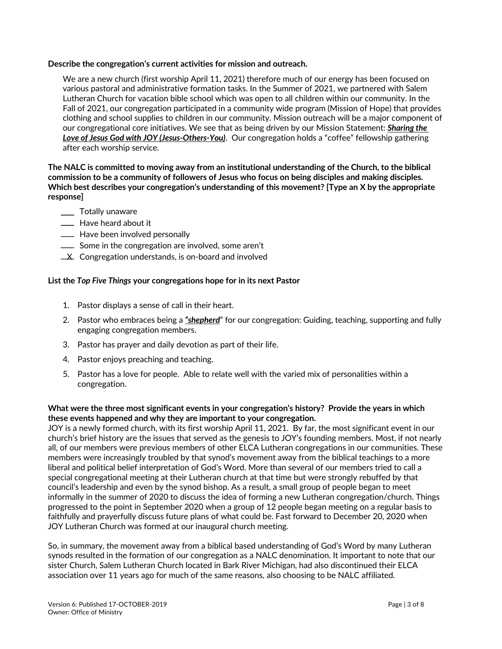#### **Describe the congregation's current activities for mission and outreach.**

We are a new church (first worship April 11, 2021) therefore much of our energy has been focused on various pastoral and administrative formation tasks. In the Summer of 2021, we partnered with Salem Lutheran Church for vacation bible school which was open to all children within our community. In the Fall of 2021, our congregation participated in a community wide program (Mission of Hope) that provides clothing and school supplies to children in our community. Mission outreach will be a major component of our congregational core initiatives. We see that as being driven by our Mission Statement: *Sharing the Love of Jesus God with JOY (Jesus-Others-You)*. Our congregation holds a "coffee" fellowship gathering after each worship service.

#### **The NALC is committed to moving away from an institutional understanding of the Church, to the biblical commission to be a community of followers of Jesus who focus on being disciples and making disciples. Which best describes your congregation's understanding of this movement? [Type an X by the appropriate response]**

- \_\_ Totally unaware
- **Example 20** Have heard about it
- **EXEC** Have been involved personally
- Some in the congregation are involved, some aren't
- **X** Congregation understands, is on-board and involved

#### **List the** *Top Five Things* **your congregations hope for in its next Pastor**

- 1. Pastor displays a sense of call in their heart.
- 2. Pastor who embraces being a *"shepherd*" for our congregation: Guiding, teaching, supporting and fully engaging congregation members.
- 3. Pastor has prayer and daily devotion as part of their life.
- 4. Pastor enjoys preaching and teaching.
- 5. Pastor has a love for people. Able to relate well with the varied mix of personalities within a congregation.

#### **What were the three most significant events in your congregation's history? Provide the years in which these events happened and why they are important to your congregation.**

JOY is a newly formed church, with its first worship April 11, 2021. By far, the most significant event in our church's brief history are the issues that served as the genesis to JOY's founding members. Most, if not nearly all, of our members were previous members of other ELCA Lutheran congregations in our communities. These members were increasingly troubled by that synod's movement away from the biblical teachings to a more liberal and political belief interpretation of God's Word. More than several of our members tried to call a special congregational meeting at their Lutheran church at that time but were strongly rebuffed by that council's leadership and even by the synod bishop. As a result, a small group of people began to meet informally in the summer of 2020 to discuss the idea of forming a new Lutheran congregation/church. Things progressed to the point in September 2020 when a group of 12 people began meeting on a regular basis to faithfully and prayerfully discuss future plans of what could be. Fast forward to December 20, 2020 when JOY Lutheran Church was formed at our inaugural church meeting.

So, in summary, the movement away from a biblical based understanding of God's Word by many Lutheran synods resulted in the formation of our congregation as a NALC denomination. It important to note that our sister Church, Salem Lutheran Church located in Bark River Michigan, had also discontinued their ELCA association over 11 years ago for much of the same reasons, also choosing to be NALC affiliated.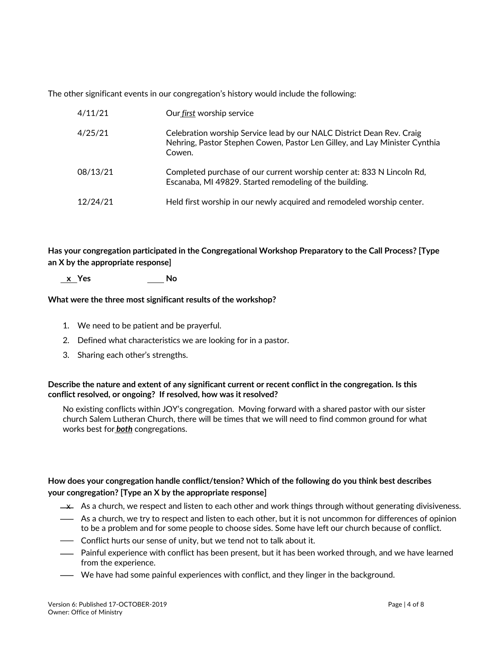The other significant events in our congregation's history would include the following:

| 4/11/21  | Our first worship service                                                                                                                                     |
|----------|---------------------------------------------------------------------------------------------------------------------------------------------------------------|
| 4/25/21  | Celebration worship Service lead by our NALC District Dean Rev. Craig<br>Nehring, Pastor Stephen Cowen, Pastor Len Gilley, and Lay Minister Cynthia<br>Cowen. |
| 08/13/21 | Completed purchase of our current worship center at: 833 N Lincoln Rd,<br>Escanaba, MI 49829. Started remodeling of the building.                             |
| 12/24/21 | Held first worship in our newly acquired and remodeled worship center.                                                                                        |

**Has your congregation participated in the Congregational Workshop Preparatory to the Call Process? [Type an X by the appropriate response]**

 **x Yes No**

#### **What were the three most significant results of the workshop?**

- 1. We need to be patient and be prayerful.
- 2. Defined what characteristics we are looking for in a pastor.
- 3. Sharing each other's strengths.

#### **Describe the nature and extent of any significant current or recent conflict in the congregation. Is this conflict resolved, or ongoing? If resolved, how was it resolved?**

No existing conflicts within JOY's congregation. Moving forward with a shared pastor with our sister church Salem Lutheran Church, there will be times that we will need to find common ground for what works best for *both* congregations.

### **How does your congregation handle conflict/tension? Which of the following do you think best describes your congregation? [Type an X by the appropriate response]**

- $\rightarrow$  As a church, we respect and listen to each other and work things through without generating divisiveness.
- As a church, we try to respect and listen to each other, but it is not uncommon for differences of opinion to be a problem and for some people to choose sides. Some have left our church because of conflict.
- **-** Conflict hurts our sense of unity, but we tend not to talk about it.
- Painful experience with conflict has been present, but it has been worked through, and we have learned from the experience.
- We have had some painful experiences with conflict, and they linger in the background.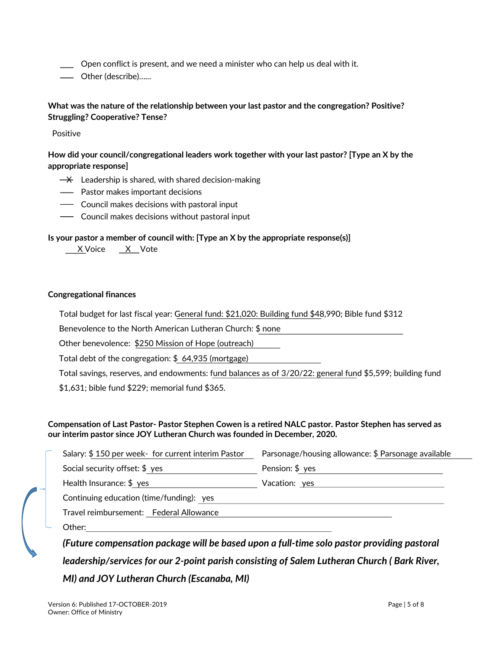Open conflict is present, and we need a minister who can help us deal with it.

Other (describe)…...

# **What was the nature of the relationship between your last pastor and the congregation? Positive? Struggling? Cooperative? Tense?**

Positive

**How did your council/congregational leaders work together with your last pastor? [Type an X by the appropriate response]**

- $\rightarrow$  Leadership is shared, with shared decision-making
- Pastor makes important decisions
- **-** Council makes decisions with pastoral input
- **-** Council makes decisions without pastoral input

#### **Is your pastor a member of council with: [Type an X by the appropriate response(s)]**

X Voice X Vote

#### **Congregational finances**

Total budget for last fiscal year: General fund: \$21,020: Building fund \$48,990; Bible fund \$312

Benevolence to the North American Lutheran Church: \$ none

Other benevolence: \$250 Mission of Hope (outreach)

Total debt of the congregation: \$ 64,935 (mortgage)

Total savings, reserves, and endowments: fund balances as of 3/20/22: general fund \$5,599; building fund \$1,631; bible fund \$229; memorial fund \$365.

#### **Compensation of Last Pastor- Pastor Stephen Cowen is a retired NALC pastor. Pastor Stephen has served as our interim pastor since JOY Lutheran Church was founded in December, 2020.**

| Salary: \$150 per week- for current interim Pastor  | Parsonage/housing allowance: \$ Parsonage available                                                            |  |  |  |
|-----------------------------------------------------|----------------------------------------------------------------------------------------------------------------|--|--|--|
| Social security offset: $$$ yes                     | Pension: \$ yes                                                                                                |  |  |  |
| Health Insurance: $$ yes$                           | Vacation: yes and a series of the series of the series of the series of the series of the series of the series |  |  |  |
| Continuing education (time/funding): yes            |                                                                                                                |  |  |  |
| Travel reimbursement: Federal Allowance             |                                                                                                                |  |  |  |
| Other:                                              |                                                                                                                |  |  |  |
| $\cdots$ . The set of $\cdots$<br>$\sqrt{2}$<br>. . |                                                                                                                |  |  |  |

*(Future compensation package will be based upon a full-time solo pastor providing pastoral leadership/services for our 2-point parish consisting of Salem Lutheran Church ( Bark River, MI) and JOY Lutheran Church (Escanaba, MI)*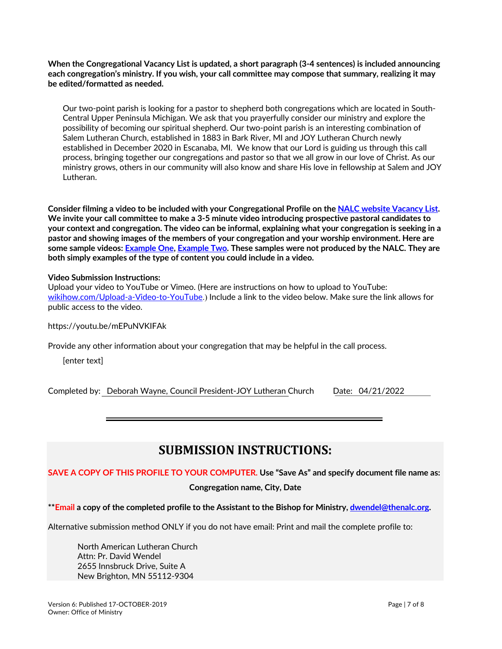**When the Congregational Vacancy List is updated, a short paragraph (3-4 sentences) is included announcing each congregation's ministry. If you wish, your call committee may compose that summary, realizing it may be edited/formatted as needed.**

Our two-point parish is looking for a pastor to shepherd both congregations which are located in South-Central Upper Peninsula Michigan. We ask that you prayerfully consider our ministry and explore the possibility of becoming our spiritual shepherd. Our two-point parish is an interesting combination of Salem Lutheran Church, established in 1883 in Bark River, MI and JOY Lutheran Church newly established in December 2020 in Escanaba, MI. We know that our Lord is guiding us through this call process, bringing together our congregations and pastor so that we all grow in our love of Christ. As our ministry grows, others in our community will also know and share His love in fellowship at Salem and JOY Lutheran.

**Consider filming a video to be included with your Congregational Profile on the NALC website Vacancy List. We invite your call committee to make a 3-5 minute video introducing prospective pastoral candidates to your context and congregation. The video can be informal, explaining what your congregation is seeking in a pastor and showing images of the members of your congregation and your worship environment. Here are some sample videos: Example One, Example Two. These samples were not produced by the NALC. They are both simply examples of the type of content you could include in a video.**

#### **Video Submission Instructions:**

Upload your video to YouTube or Vimeo. (Here are instructions on how to upload to YouTube: wikihow.com/Upload-a-Video-to-YouTube.) Include a link to the video below. Make sure the link allows for public access to the video.

https://youtu.be/mEPuNVKIFAk

Provide any other information about your congregation that may be helpful in the call process.

[enter text]

Completed by: Deborah Wayne, Council President-JOY Lutheran Church Date: 04/21/2022

# **SUBMISSION INSTRUCTIONS:**

**SAVE A COPY OF THIS PROFILE TO YOUR COMPUTER. Use "Save As" and specify document file name as:**

**Congregation name, City, Date**

**\*\*Email a copy of the completed profile to the Assistant to the Bishop for Ministry, dwendel@thenalc.org.**

Alternative submission method ONLY if you do not have email: Print and mail the complete profile to:

North American Lutheran Church Attn: Pr. David Wendel 2655 Innsbruck Drive, Suite A New Brighton, MN 55112-9304